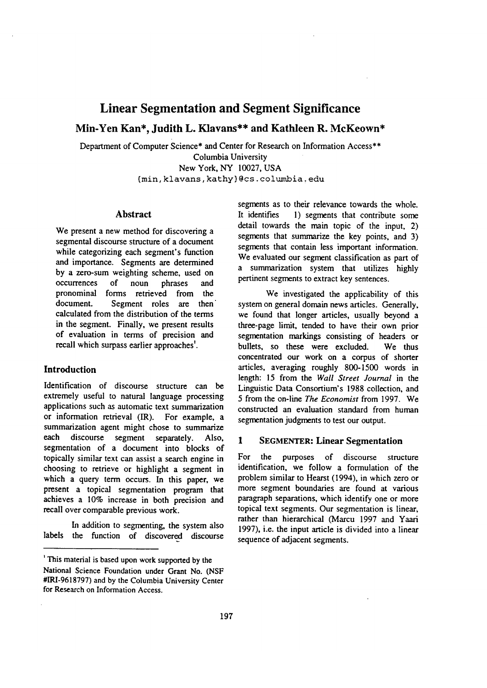# **Linear Segmentation and Segment Significance**

# **Min-Yen Kan\*, Judith L. Klavans\*\* and Kathleen R. McKeown\***

Department of Computer Science\* and Center for Research on Information Access\*\*

Columbia University New York, NY 10027, USA

(min, klavans, kathy} @cs. columbia, edu

# **Abstract**

We present a new method for discovering a segmental discourse structure of a document while categorizing each segment's function and importance. Segments are determined by a zero-sum weighting scheme, used on occurrences of noun phrases and pronominal forms retrieved from the document. Segment roles are then calculated from the distribution of the terms in the segment. Finally, we present results of evaluation in terms of precision and recall which surpass earlier approaches'.

## **Introduction**

Identification of discourse structure can be extremely useful to natural language processing applications such as automatic text summarization or information retrieval (IR). For example, a summarization agent might chose to summarize each discourse segment separately. Also, segmentation of a document into blocks of topically similar text can assist a search engine in choosing to retrieve or highlight a segment in which a query term occurs. In this paper, we present a topical segmentation program that achieves a 10% increase in both precision and recall over comparable previous work.

In addition to segmenting, the system also labels the function of discovered discourse segments as to their relevance towards the whole. It identifies 1) segments that contribute some detail towards the main topic of the input, 2) segments that summarize the key points, and 3) segments that contain less important information. We evaluated our segment classification as part of a summarization system that utilizes highly pertinent segments to extract key sentences.

We investigated the applicability of this system on general domain news articles. Generally, we found that longer articles, usually beyond a three-page limit, tended to have their own prior segmentation markings consisting of headers or bullets, so these were excluded. We thus concentrated our work on a corpus of shorter articles, averaging roughly 800-1500 words in length: 15 from the *Wall Street Journal* in the Linguistic Data Consortium's 1988 collection, and 5 from the on-line *The Economist* from 1997. We constructed an evaluation standard from human segmentation judgments to test our output.

### **1 SEGMENTER:** Linear Segmentation

For the purposes of discourse structure identification, we follow a formulation of the problem similar to Hearst (1994), in which zero or more segment boundaries are found at various paragraph separations, which identify one or more topical text segments. Our segmentation is linear, rather than hierarchical (Marcu 1997 and Yaari 1997), i.e. the input article is divided into a linear sequence of adjacent segments.

<sup>&#</sup>x27; This material is based upon work supported by the National Science Foundation under Grant No. (NSF #IRI-9618797) and by the Columbia University Center for Research on Information Access.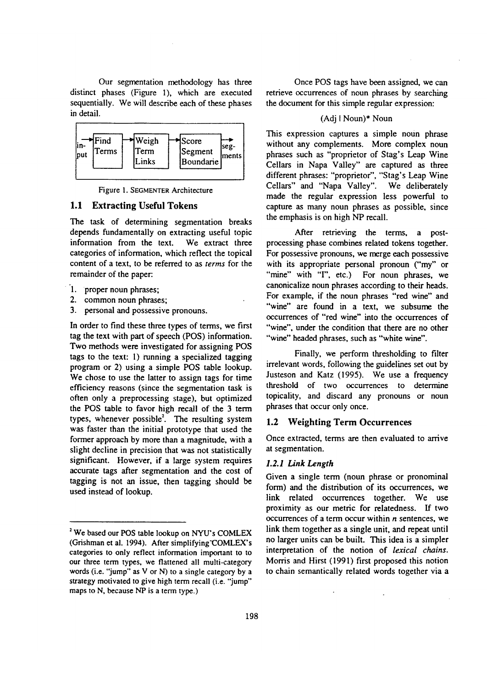Our segmentation methodology has three distinct phases (Figure 1), which are executed sequentially. We will describe each of these phases in detail.



Figure 1. SEGMENTER Architecture

### 1,1 Extracting Useful Tokens

The task of determining segmentation breaks depends fundamentally on extracting useful topic information from the text. We extract three categories of information, which reflect the topical content of a text, to be referred to as *terms* for the remainder of the paper:

- 1. proper noun phrases;
- 2. common noun phrases;
- 3. personal and possessive pronouns.

In order to find these three types of terms, we first tag the text with part of speech (POS) information. Two methods were investigated for assigning POS tags to the text: I) running a specialized tagging program or 2) using a simple POS table lookup. We chose to use the latter to assign tags for time efficiency reasons (since the segmentation task is often only a preprocessing stage), but optimized the POS table to favor high recall of the 3 term types, whenever possible<sup>2</sup>. The resulting system was faster than the initial prototype that used the former approach by more than a magnitude, with a slight decline in precision that was not statistically significant. However, if a large system requires accurate tags after segmentation and the cost of tagging is not an issue, then tagging should be used instead of lookup.

Once POS tags have been assigned, we can retrieve occurrences of noun phrases by searching the document for this simple regular expression:

### (Adj I Noun)\* Noun

This expression captures a simple noun phrase without any complements. More complex noun phrases such as "proprietor of Stag's Leap Wine Cellars in Napa Valley" are captured as three different phrases: "proprietor", "Stag's Leap Wine Cellars" and "Napa Valley". We deliberately made the regular expression less powerful to capture as many noun phrases as possible, since the emphasis is on high NP recall.

After retrieving the terms, a postprocessing phase combines related tokens together. For possessive pronouns, we merge each possessive with its appropriate personal pronoun ("my" or "mine" with "I", etc.) For noun phrases, we canonicalize noun phrases according to their heads. For example, if the noun phrases "red wine" and "wine" are found in a text, we subsume the occurrences of "red wine" into the occurrences of "wine", under the condition that there are no other "wine" headed phrases, such as "white wine".

Finally, we perform thresholding to filter irrelevant words, following the guidelines set out by Justeson and Katz (1995). We use a frequency threshold of two occurrences to determine topicality, and discard any pronouns or noun phrases that occur only once.

### 1.2 Weighting Term Occurrences

Once extracted, terms are then evaluated to arrive at segmentation.

### *1.2.1 lank Length*

Given a single term (noun phrase or pronominal form) and the distribution of its occurrences, we link related occurrences together. We use proximity as our metric for relatedness. If two occurrences of a term occur within  $n$  sentences, we link them together as a single unit, and repeat until no larger units can be built. This idea is a simpler interpretation of the notion of *lexical chains.*  Morris and Hirst (1991) first proposed this notion to chain semantically related words together via a

We based our POS table lookup on NYU's COMLEX (Grishman et al. 1994). After simplifying'COMLEX's categories to only reflect information important to to our three term types, we flattened all multi-category words (i.e. "jump" as V or N) to a single category by a strategy motivated to give high term recall (i.e. "jump" maps to N, because NP is a term type.)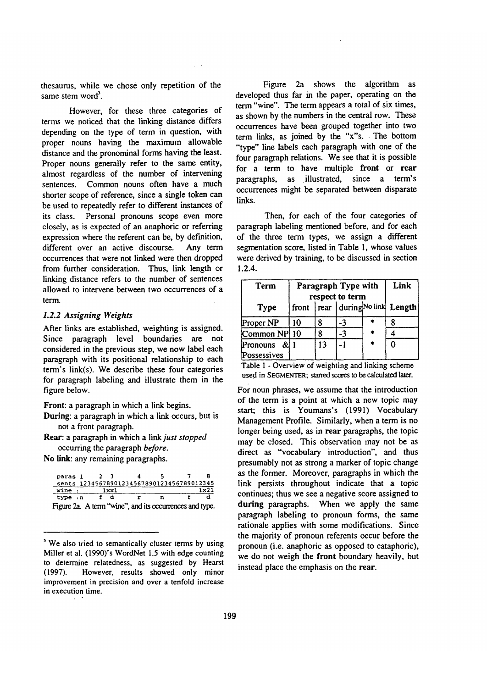thesaurus, while we chose only repetition of the same stem word'.

However, for these three categories of terms we noticed that the linking distance differs depending on the type of term in question, with proper nouns having the maximum allowable distance and the pronominal forms having the least. Proper nouns generally refer to the same entity, almost regardless of the number of intervening sentences. Common nouns often have a much shorter scope of reference, since a single token can be used to repeatedly refer to different instances of its class. Personal pronouns scope even more closely, as is expected of an anaphoric or referring expression where the referent can be, by def'mition, different over an active discourse. Any term occurrences that were not linked were then dropped from further consideration. Thus, link length or linking distance refers to the number of sentences allowed to intervene between two occurrences of a term.

### *1.2.2 Assigning Weights*

After links are established, weighting is assigned. Since paragraph level boundaries are not considered in the previous step, we now label each paragraph with its positional relationship to each term's link(s). We describe these four categories for paragraph labeling and illustrate them in the figure below.

Front: a paragraph in which a link begins.

During: a paragraph in which a link occurs, but is not a front paragraph.

Rear: a paragraph in which a *link just stopped*  occurring the paragraph *before.* 

No link: any remaining paragraphs.

| paras l |  |      |                                                         |  |
|---------|--|------|---------------------------------------------------------|--|
|         |  |      | sents 12345678901234567890123456789012345               |  |
| wine    |  | 1xx1 |                                                         |  |
| true:n  |  |      |                                                         |  |
|         |  |      | Figure 2a. A term "wine", and its occurrences and type. |  |

<sup>&</sup>lt;sup>3</sup> We also tried to semantically cluster terms by using Miller et al. (1990)'s WordNet 1.5 with edge counting to determine relatedness, as suggested by Hearst (1997). However, results showed only minor improvement in precision and over a tenfold increase in execution time.

Figure 2a shows the algorithm as developed thus far in the paper, operating on the term "wine". The term appears a total of six times, as shown by the numbers in the central row. These occurrences have been grouped together into two term links, as joined by the "x"s. The bottom "type" line labels each paragraph with one of the four paragraph relations. We see that it is possible for a term to have multiple front or rear paragraphs, as illustrated, since a term's occurrences might be separated between disparate links.

Then, for each of the four categories of paragraph labeling mentioned before, and for each of the three term types, we assign a different segmentation score, listed in Table 1, whose values were derived by training, to be discussed in section **1.2.4.** 

| Term                      | Paragraph Type with<br>respect to term | Link |    |   |                                        |  |
|---------------------------|----------------------------------------|------|----|---|----------------------------------------|--|
| <b>Type</b>               |                                        |      |    |   | front   rear   during No link   Length |  |
| Proper NP                 | 10                                     |      | -3 |   |                                        |  |
| Common NP 10              |                                        | Q    | -3 |   |                                        |  |
| Pronouns &<br>Possessives |                                        | 13   |    | * |                                        |  |

Table I - Overview of weighting and linking scheme used in SEGMENTER; starred scores to be calculated later.

For noun phrases, we assume that the introduction of the term is a point at which a new topic may start; this is Youmans's (1991) Vocabulary Management Profile. Similarly, when a term is no longer being used, as in rear paragraphs, the topic may be closed. This observation may not be as direct as "vocabulary introduction", and thus presumably not as strong a marker of topic change as the former. Moreover, paragraphs in which the link persists throughout indicate that a topic continues; thus we see a negative score assigned to **during** paragraphs. When we apply the same paragraph labeling to pronoun forms, the same rationale applies with some modifications. Since the majority of pronoun referents occur before the pronoun (i.e. anaphoric as opposed to cataphoric), we do not weigh the front boundary heavily, but instead place the emphasis on the rear.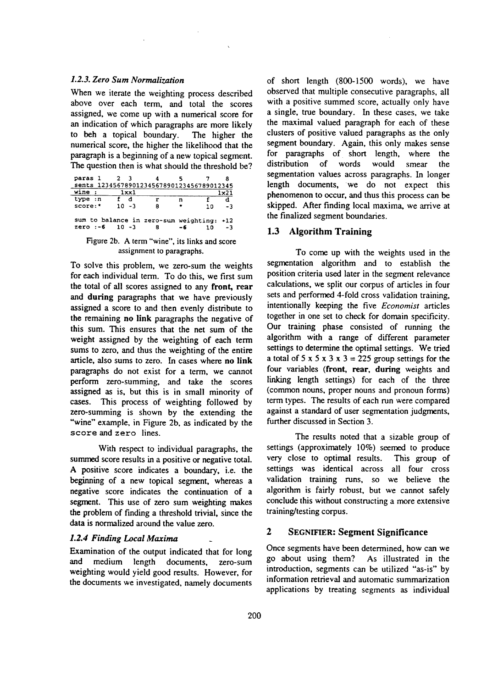### *1.2.3. Zero Sum Normalization*

When we iterate the weighting process described above over each term, and total the scores assigned, we come up with a numerical score for an indication of which paragraphs are more likely to beh a topical boundary. The higher the numerical score, the higher the likelihood that the paragraph is a beginning of a new topical segment. The question then is what should the threshold be?

| paras 1                                   |          |   |    |    |        |
|-------------------------------------------|----------|---|----|----|--------|
| sents 12345678901234567890123456789012345 |          |   |    |    |        |
| wine                                      | 1xx1     |   |    |    | 1 - 21 |
| type :n                                   |          |   | n  |    |        |
| score:*                                   | ר- 10    | я | ٠  | າດ | - 3    |
| sum to balance in zero-sum weighting: +12 |          |   |    |    |        |
| $zero: -6$                                | $10 - 3$ | 8 | -6 | 10 | - 3    |
|                                           |          |   |    |    |        |

Figure 2b. A term "wine", its links and score assignment to paragraphs.

To solve this problem, we zero-sum the weights for each individual term. To do this, we first sum the total of all scores assigned to any front, rear and during paragraphs that we have previously assigned a score to and then evenly distribute to the remaining no link paragraphs the negative of this sum. This ensures that the net sum of the weight assigned by the weighting of each term sums to zero, and thus the weighting of the entire article, also sums to zero. In cases where no link paragraphs do not exist for a term, we cannot perform zero-summing, and take the scores assigned as is, but this is in small minority of cases. This process of weighting followed by zero-summing is shown by the extending the "wine" example, in Figure 2b, as indicated by the score and zero lines.

With respect to individual paragraphs, the summed score results in a positive or negative total. A positive score indicates a boundary, i.e. the beginning of a new topical segment, whereas a negative score indicates the continuation of a segment. This use of zero sum weighting makes the problem of finding a threshold trivial, since the data is normalized around the value zero.

### *L2.4 Finding Local Maxima*

Examination of the output indicated that for long and medium length documents, zero-sum weighting would yield good results. However, for the documents we investigated, namely documents

of short length (800-1500 words), we have observed that multiple consecutive paragraphs, all with a positive summed score, actually only have a single, true boundary. In these cases, we take the maximal valued paragraph for each of these clusters of positive valued paragraphs as the only segment boundary. Again, this only makes sense for paragraphs of short length, where the distribution of words would smear the segmentation values across paragraphs. In longer length documents, we do not expect this phenomenon to occur, and thus this process can be skipped. After finding local maxima, we arrive at the finalized segment boundaries.

### 1.3 Algorithm Training

To come up with the weights used in the segmentation algorithm and to establish the position criteria used later in the segment relevance calculations, we split our corpus of articles in four sets and performed 4-fold cross validation training, intentionally keeping the five *Economist* articles together in one set to check for domain specificity. Our training phase consisted of running the algorithm with a range of different parameter settings to determine the optimal settings. We tried a total of 5 x 5 x 3 x 3 = 225 group settings for the four variables (front, rear, during weights and linking length settings) for each of the three (common nouns, proper nouns and pronoun forms) term types. The results of each run were compared against a standard of user segmentation judgments, further discussed in Section 3.

The results noted that a sizable group of settings (approximately 10%) seemed to produce very close to optimal results. This group of settings was identical across all four cross validation training runs, so we believe the algorithm is fairly robust, but we cannot safely conclude this without constructing a more extensive training/testing corpus.

# **2 SEGNIFIER: Segment Significance**

Once segments have been determined, how can we go about using them? As illustrated in the introduction, segments can be utilized "as-is" by information retrieval and automatic summarization applications by treating segments as individual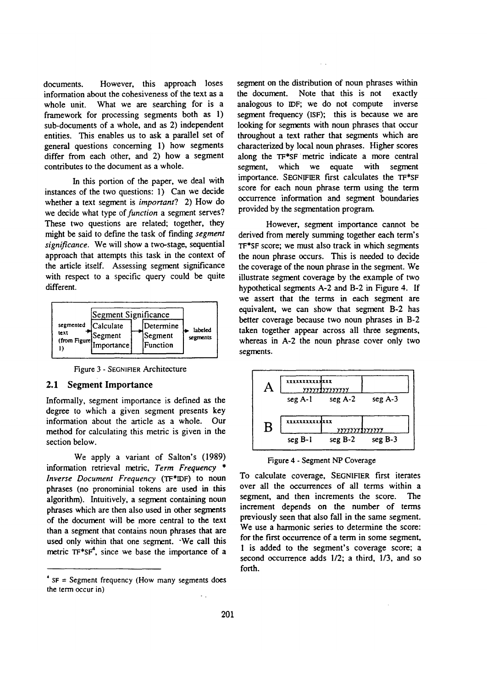documents. However, this approach loses information about the cohesiveness of the text as a whole unit. What we are searching for is a framework for processing segments both as 1) sub-documents of a whole, and as 2) independent entities. This enables us to ask a parallel set of general questions concerning 1) how segments differ from each other, and 2) how a segment contributes to the document as a whole.

In this portion of the paper, we deal with instances of the two questions: 1) Can we decide whether a text segment is *important?* 2) How do we decide what type *of function* a segment serves? These two questions are related; together, they might be said to define the task of finding *segment significance.* We will show a two-stage, sequential approach that attempts this task in the context of the article itself. Assessing segment significance with respect to a specific query could be quite different.

|                                     | Segment Significance                |                                  |                     |
|-------------------------------------|-------------------------------------|----------------------------------|---------------------|
| segmented<br>text<br>(from Figure). | Calculate<br> Segment<br>Importance | Determine<br>Segment<br>Function | labeled<br>segments |

Figure 3 - SEGNIFIER Architecture

#### 2.1 Segment Importance

Informally, segment importance is defined as the degree to which a given segment presents key information about the article as a whole. Our method for calculating this metric is given in the section below.

We apply a variant of Salton's (1989) information retrieval metric, *Term Frequency \* Inverse Document Frequency* (TF\*IDF) to noun phrases (no pronominial tokens are used in this algorithm). Intuitively, a segment containing noun phrases which are then also used in other segments of the document will be more central to the text than a segment that contains noun phrases that are used only within that one segment. 'We call this metric  $TF^*SF^4$ , since we base the importance of a segment on the distribution of noun phrases within the document. Note that this is not exactly analogous to IDF; we do not compute inverse segment frequency (ISF); this is because we are looking for segments with noun phrases that occur throughout a text rather that segments which are characterized by local noun phrases. Higher scores along the TF\*SF metric indicate a more central segment, which we equate with segment importance. SEGNIFIER first calculates the TF\*SF score for each noun phrase term using the term occurrence information and segment boundaries provided by the segmentation program.

However, segment importance cannot be derived from merely summing together each term's TF\*SF score; we must also track in which segments the noun phrase occurs. This is needed to decide the coverage of the noun phrase in the segment. We illustrate segment coverage by the example of two hypothetical segments A-2 and B-2 in Figure 4. If we assert that the terms in each segment are equivalent, we can show that segment B-2 has better coverage because two noun phrases in B-2 taken together appear across all three segments, whereas in A-2 the noun phrase cover only two segments.



Figure 4 - Segment NP Coverage

To calculate coverage, SEGNIFIER first iterates over all the occurrences of all terms within a segment, and then increments the score. The increment depends on the number of terms previously seen that also fall in the same segment. We use a harmonic series to determine the score: for the first occurrence of a term in some segment, I is added to the segment's coverage score; a second occurrence adds 1/2; a third, 1/3, and so forth.

 $*$  SF = Segment frequency (How many segments does the term occur in)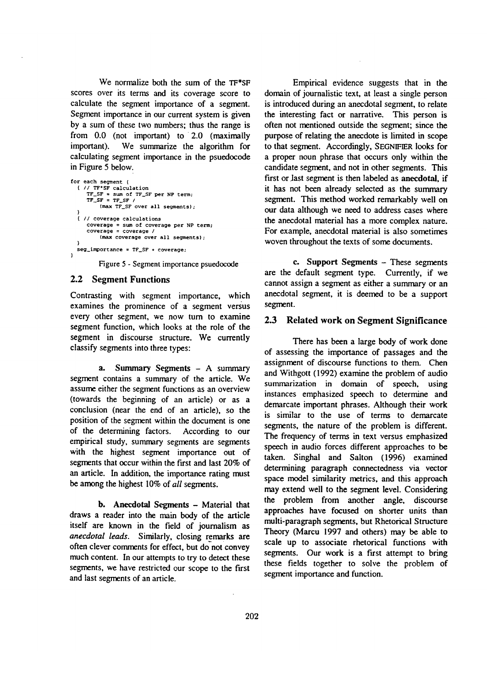We normalize both the sum of the TF\*SF scores over its terms and its coverage score to calculate the segment importance of a segment. Segment importance in our current system is given by a sum of these two numbers; thus the range is from 0.0 (not important) to 2.0 (maximally important). We summarize the algorithm for calculating segment importance in the psuedocode in Figure 5 below.

```
for each segment { 
   { // TF'SF calculation 
TF_SF = sum of TF_SF per NP term; 
TF_SF = TFSF / 
           (max TF SF over all segments); 
   ) 
   { // coverage calculations 
       coverage = sum of coverage per NP term; 
coverage = coverage I 
           (max coverage over all segments); 
   } 
  seg\_importance = TF\_SF + coverage;}
```
Figure 5 - Segment importance psuedocode

#### 2.2 Segment Functions

Contrasting with segment importance, which examines the prominence of a segment versus every other segment, we now turn to examine segment function, which looks at the role of the segment in discourse structure. We currently classify segments into three types:

a. Summary Segments - A summary segment contains a summary of the article. We assume either the segment functions as an overview (towards the beginning of an article) or as a conclusion (near the end of an article), so the position of the segment within the document is one of the determining factors. According to our empirical study, summary segments are segments with the highest segment importance out of segments that occur within the first and last 20% of an article. In addition, the importance rating must be among the highest 10% of *all* segments.

b. Anecdotal Segments - Material that draws a reader into the main body of the article itself are known in the field of journalism as *anecdotal leads.* Similarly, closing remarks are often clever comments for effect, but do not convey much content. In our attempts to try to detect these segments, we have restricted our scope to the first and last segments of an article.

Empirical evidence suggests that in the domain of journalistic text, at least a single person is introduced during an anecdotal segment, to relate the interesting fact or narrative. This person is often not mentioned outside the segment; since the purpose of relating the anecdote is limited in scope to that segment. Accordingly, SEGNIFIER looks for a proper noun phrase that occurs only within the candidate segment, and not in other segments. This first or last segment is then labeled as anecdotal, if it has not been already selected as the summary segment. This method worked remarkably well on our data although we need to address cases where the anecdotal material has a more complex nature. For example, anecdotal material is also sometimes woven throughout the texts of some documents.

e. Support Segments - These segments are the default segment type. Currently, if we cannot assign a segment as either a summary or an anecdotal segment, it is deemed to be a support segment.

# 2.3 Related work on Segment Significance

There has been a large body of work done of assessing the importance of passages and the assignment of discourse functions to them. Chen and Withgott (1992) examine the problem of audio summarization in domain of speech, using instances emphasized speech to determine and demarcate important phrases. Although their work is similar to the use of terms to demarcate segments, the nature of the problem is different. The frequency of terms in text versus emphasized speech in audio forces different approaches to be taken. Singhal and Salton (1996) examined determining paragraph connectedness via vector space model similarity metrics, and this approach may extend well to the segment level. Considering the problem from another angle, discourse approaches have focused on shorter units than multi-paragraph segments, but Rhetorical Structure Theory (Marcu 1997 and others) may be able to scale up to associate rhetorical functions with segments. Our work is a first attempt to bring these fields together to solve the problem of segment importance and function.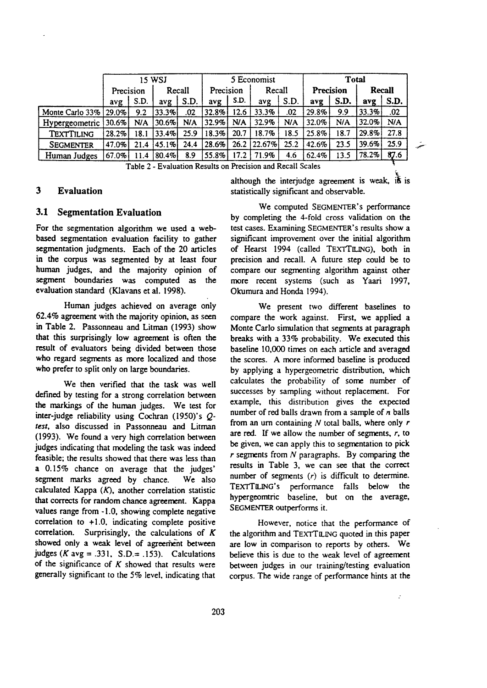|                       | 15 WSJ     |      |          |            |            |      | 5 Economist |      | Total     |      |               |      |
|-----------------------|------------|------|----------|------------|------------|------|-------------|------|-----------|------|---------------|------|
|                       | Precision  |      | Recall   |            | Precision  |      | Recall      |      | Precision |      | <b>Recall</b> |      |
|                       | avg        | S.D. | avg      | S.D.       | avg        | S.D. | avg         | S.D. | avg       | S.D. | avg           | S.D. |
| Monte Carlo 33% 29.0% |            | 9.2  | 33.3%    | .02        | $ 32.8\% $ | 12.6 | 33.3%       | .02  | 29.8%     | 9.9  | 33.3%         | .02  |
| Hypergeometric 30.6%  |            | N/A  | 30.6%    | <b>N/A</b> | 32.9%      | N/A  | 32.9%       | N/A  | 32.0%     | N/A  | 32.0%         | N/A  |
| TEXTTILING            | 28.2%      | 18.1 | 133.4%   | 25.9       | 18.3%      | 20.7 | 18.7%       | 18.5 | 25.8%     | 18.7 | $29.8\%$      | 27.8 |
| <b>SEGMENTER</b>      | $ 47.0\% $ | 21.4 | 145.1%l  | 24.4       | 28.6%      |      | 26.2 22.67% | 25.2 | 42.6%     | 23.5 | $39.6\%$      | 25.9 |
| Human Judges          | $ 67.0\% $ | 11.4 | $80.4\%$ | 8.9        | 55.8%      | 17.2 | 71.9%       | 4.6  | 62.4%     | 13.5 | $ 78.2\% $    | 87.6 |

Table 2 - Evaluation Results on Precision and Recall Scales

## **3 Evaluation**

# **3.1 Segmentation Evaluation**

**For** the segmentation algorithm we used a webbased segmentation evaluation facility to gather segmentation judgments. Each of the 20 articles in the corpus was segmented by at least four human judges, and the majority opinion of segment boundaries was computed as the evaluation standard (Klavans et al. 1998).

Human judges achieved on average only 62.4% agreement with the majority opinion, as seen in Table 2. Passonneau and Litrnan (1993) show that this surprisingly low agreement is often the result of evaluators being divided between those who regard segments as more localized and those who prefer to split only on large boundaries.

We then verified that the task was well defined by testing for a strong correlation between the markings of the human judges. We test for inter-judge reliability using Cochran (1950)'s Q*test,* also discussed in Passonneau and Litrnan (1993). We found a very high correlation between judges indicating that modeling the task was indeed feasible; the results showed that there was less than a 0.15% chance on average that the judges' segment marks agreed by chance. We also calculated Kappa  $(K)$ , another correlation statistic that corrects for random chance agreement. Kappa values range from -1.0, showing complete negative correlation to +1.0, indicating complete positive correlation. Surprisingly, the calculations of  $K$ showed only a weak level of agreement between judges (K avg = .331, S.D.= .153). Calculations of the significance of  $K$  showed that results were generally significant to the 5% level, indicating that

although the interjudge agreement is weak, it is statistically significant and observable.

i,

ستهد

We computed SEGMENTER'S performance by completing the 4-fold cross validation on the test cases. Examining SEGMENTER'S results show a significant improvement over the initial algorithm of Hearst 1994 (called TEXTTILING), both in precision and recall. A future step could be to compare our segmenting algorithm against other more recent systems (such as Yaari 1997, Okumura and Honda 1994).

We present two different baselines to compare the work against. First, we applied a Monte Carlo simulation that segments at paragraph breaks with a 33% probability. We executed this baseline I0,000 times on each article and averaged the scores. A more informed baseline is produced by applying a hypergeometric distribution, which calculates the probability of some number of successes by sampling without replacement. For example, this distribution gives the expected number of red balls drawn from a sample of  $n$  balls from an urn containing  $N$  total balls, where only  $r$ are red. If we allow the number of segments,  $r$ , to be given, we can apply this to segmentation to pick  $r$  segments from  $N$  paragraphs. By comparing the results in Table 3, we can see that the correct number of segments  $(r)$  is difficult to determine. TEXTTILING's performance falls below the hypergeomtric baseline, but on the average, SEGMENTER outperforms it.

However, notice that the performance of the algorithm and TEXTTILING quoted in this paper are low in comparison to reports by others. We believe this is due to the weak level of agreement between judges in our training/testing evaluation corpus. The wide range of performance hints at the

 $\ddot{\cdot}$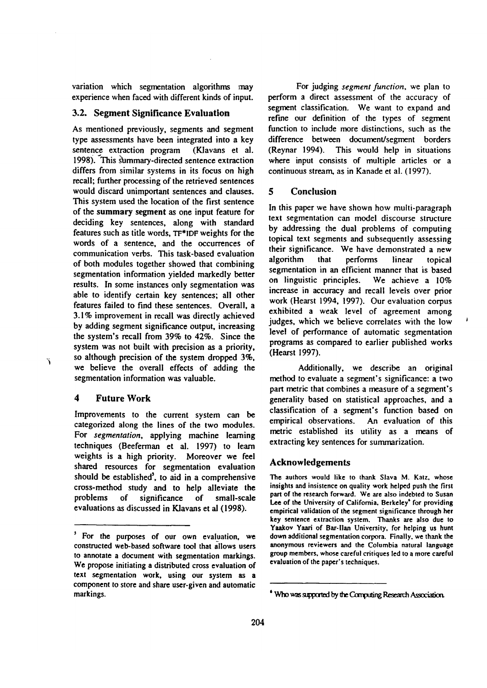variation which segmentation algorithms may experience when faced with different kinds of input.

### **3.2.** Segment Significance **Evaluation**

As mentioned previously, segments and segment type assessments have been integrated into a key sentence extraction program (Klavans et al. 1998). This summary-directed sentence extraction differs from similar systems in its focus on high recall; further processing of the retrieved sentences would discard unimportant sentences and clauses. This system used the location of the first sentence of the summary segment as one input feature for deciding key sentences, along with standard features such as title words, TF\*IDF weights for the words of a sentence, and the occurrences of communication verbs. This task-based evaluation of both modules together showed that combining segmentation information yielded markedly better results. In some instances only segmentation was able to identify certain key sentences; all other features failed to find these sentences. Overall, a 3.1% improvement in recall was directly achieved by adding segment significance output, increasing the system's recall from 39% to 42%. Since the system was not built with precision as a priority, so although precision of the system dropped 3%, we believe the overall effects of adding the segmentation information was valuable.

## 4 Future Work

 $\tilde{f}$ 

Improvements to the current system can be categorized along the lines of the two modules. For *segmentation,* applying machine learning techniques (Beeferman et al. 1997) to learn weights is a high priority. Moreover we feel shared resources for segmentation evaluation should be established', to aid in a comprehensive cross-method study and to help alleviate the problems of significance of small-scale evaluations as discussed in Klavans et al (1998).

For judging *segment function,* we plan to perform a direct assessment of the accuracy of segment classification. We want to expand and refine our definition of the types of segment function to include more distinctions, such as the difference between document/segment borders (Reynar 1994). This would help in situations where input consists of multiple articles or a continuous stream, as in Kanade et al. (1997).

### 5 Conclusion

In this paper we have shown how multi-paragraph text segmentation can model discourse structure by addressing the dual problems of computing topical text segments and subsequently assessing their significance. We have demonstrated a new algorithm that performs linear topical segmentation in an efficient manner that is based on linguistic principles. We achieve a 10% increase in accuracy and recall levels over prior work (Hearst 1994, 1997). Our evaluation corpus exhibited a weak level of agreement among judges, which we believe correlates with the low level of performance of automatic segmentation programs as compared to earlier published works (Hearst 1997).

Additionally, we describe an original method to evaluate a segment's significance: a two part metric that combines a measure of a segment's generality based on statistical approaches, and a classification of a segment's function based on empirical observations. An evaluation of this metric established its utility as a means of extracting key sentences for summarization.

## Acknowledgements

The authors would like to thank Slava M. Katz, whose insights and insistence on quality work helped push the first part of the research forward. We are also indebted to Susan Lee of the University of California. Berkeley<sup>\*</sup> for providing empirical validation of the segment significance through **her**  key sentence extraction system. Thanks **are also due** to Yaakov Yaari of Bar-llan University, for helping us hunt down additional segmentation corpora. Finally. we thank the anonymous reviewers and the Columbia natural language group members, whose careful critiques led to a more careful evaluation of the paper's techniques.

<sup>&#</sup>x27; For the purposes of our own evaluation, we constructed web-based software tool that allows users to annotate a document with segmentation markings. We propose initiating a distributed cross evaluation of text segmentation work, using our system as a component to store and share user-given and automatic markings.

<sup>&</sup>lt;sup>6</sup> Who was supported by the Computing Research Association.